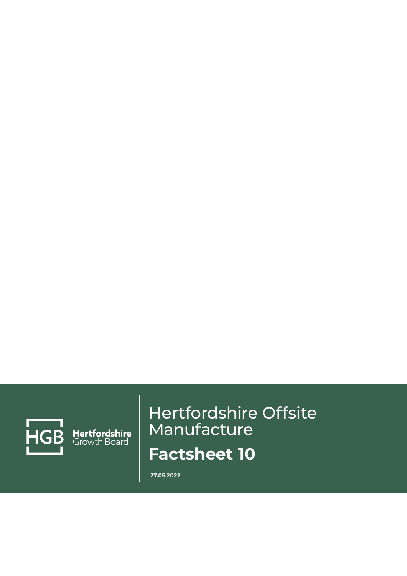

Hertfordshire<br>Growth Board

# Hertfordshire Offsite Manufacture **Factsheet 10**

**27.05.2022**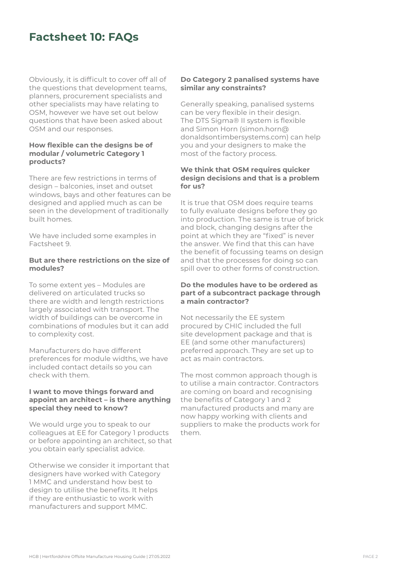# **Factsheet 10: FAQs**

Obviously, it is difficult to cover off all of the questions that development teams, planners, procurement specialists and other specialists may have relating to OSM, however we have set out below questions that have been asked about OSM and our responses.

#### **How flexible can the designs be of modular / volumetric Category 1 products?**

There are few restrictions in terms of design – balconies, inset and outset windows, bays and other features can be designed and applied much as can be seen in the development of traditionally built homes.

We have included some examples in Factsheet 9.

# **But are there restrictions on the size of modules?**

To some extent yes – Modules are delivered on articulated trucks so there are width and length restrictions largely associated with transport. The width of buildings can be overcome in combinations of modules but it can add to complexity cost.

Manufacturers do have different preferences for module widths, we have included contact details so you can check with them.

# **I want to move things forward and appoint an architect – is there anything special they need to know?**

We would urge you to speak to our colleagues at EE for Category 1 products or before appointing an architect, so that you obtain early specialist advice.

Otherwise we consider it important that designers have worked with Category 1 MMC and understand how best to design to utilise the benefits. It helps if they are enthusiastic to work with manufacturers and support MMC.

## **Do Category 2 panalised systems have similar any constraints?**

Generally speaking, panalised systems can be very flexible in their design. The DTS Sigma® II system is flexible and Simon Horn (simon.horn@ donaldsontimbersystems.com) can help you and your designers to make the most of the factory process.

#### **We think that OSM requires quicker design decisions and that is a problem for us?**

It is true that OSM does require teams to fully evaluate designs before they go into production. The same is true of brick and block, changing designs after the point at which they are "fixed" is never the answer. We find that this can have the benefit of focussing teams on design and that the processes for doing so can spill over to other forms of construction.

#### **Do the modules have to be ordered as part of a subcontract package through a main contractor?**

Not necessarily the EE system procured by CHIC included the full site development package and that is EE (and some other manufacturers) preferred approach. They are set up to act as main contractors.

The most common approach though is to utilise a main contractor. Contractors are coming on board and recognising the benefits of Category 1 and 2 manufactured products and many are now happy working with clients and suppliers to make the products work for them.